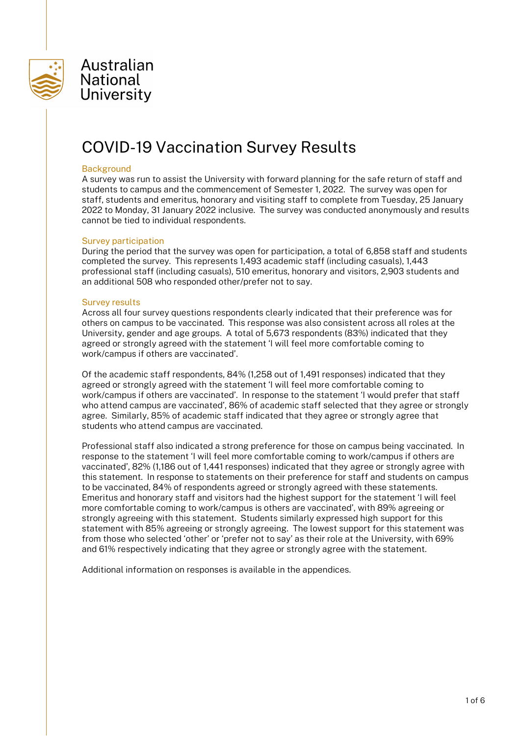

# COVID-19 Vaccination Survey Results

#### **Background**

A survey was run to assist the University with forward planning for the safe return of staff and students to campus and the commencement of Semester 1, 2022. The survey was open for staff, students and emeritus, honorary and visiting staff to complete from Tuesday, 25 January 2022 to Monday, 31 January 2022 inclusive. The survey was conducted anonymously and results cannot be tied to individual respondents.

#### Survey participation

During the period that the survey was open for participation, a total of 6,858 staff and students completed the survey. This represents 1,493 academic staff (including casuals), 1,443 professional staff (including casuals), 510 emeritus, honorary and visitors, 2,903 students and an additional 508 who responded other/prefer not to say.

#### Survey results

Across all four survey questions respondents clearly indicated that their preference was for others on campus to be vaccinated. This response was also consistent across all roles at the University, gender and age groups. A total of 5,673 respondents (83%) indicated that they agreed or strongly agreed with the statement 'I will feel more comfortable coming to work/campus if others are vaccinated'.

Of the academic staff respondents, 84% (1,258 out of 1,491 responses) indicated that they agreed or strongly agreed with the statement 'I will feel more comfortable coming to work/campus if others are vaccinated'. In response to the statement 'I would prefer that staff who attend campus are vaccinated', 86% of academic staff selected that they agree or strongly agree. Similarly, 85% of academic staff indicated that they agree or strongly agree that students who attend campus are vaccinated.

Professional staff also indicated a strong preference for those on campus being vaccinated. In response to the statement 'I will feel more comfortable coming to work/campus if others are vaccinated', 82% (1,186 out of 1,441 responses) indicated that they agree or strongly agree with this statement. In response to statements on their preference for staff and students on campus to be vaccinated, 84% of respondents agreed or strongly agreed with these statements. Emeritus and honorary staff and visitors had the highest support for the statement 'I will feel more comfortable coming to work/campus is others are vaccinated', with 89% agreeing or strongly agreeing with this statement. Students similarly expressed high support for this statement with 85% agreeing or strongly agreeing. The lowest support for this statement was from those who selected 'other' or 'prefer not to say' as their role at the University, with 69% and 61% respectively indicating that they agree or strongly agree with the statement.

Additional information on responses is available in the appendices.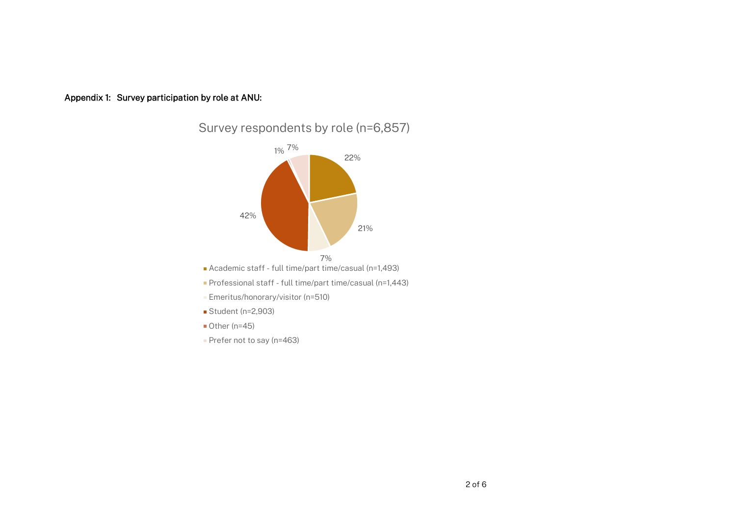



- Academic staff full time/part time/casual (n=1,493)
- Professional staff full time/part time/casual (n=1,443)
- **Emeritus/honorary/visitor (n=510)**
- Student (n=2,903)
- $\blacksquare$  Other (n=45)
- Prefer not to say (n=463)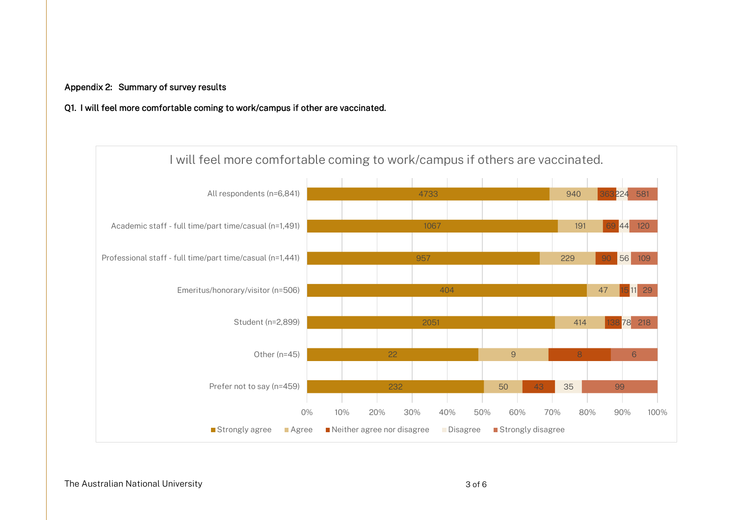## Appendix 2: Summary of survey results

## Q1. I will feel more comfortable coming to work/campus if other are vaccinated.

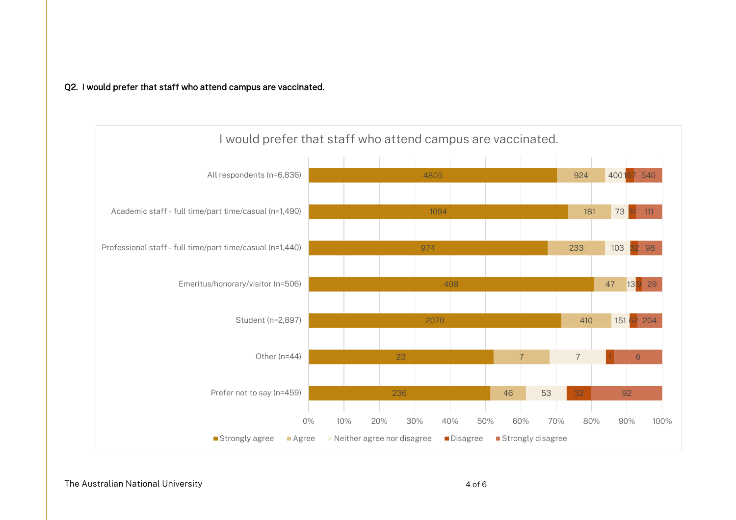## Q2. I would prefer that staff who attend campus are vaccinated.



The Australian National University **Australian Serversity** 4 of 6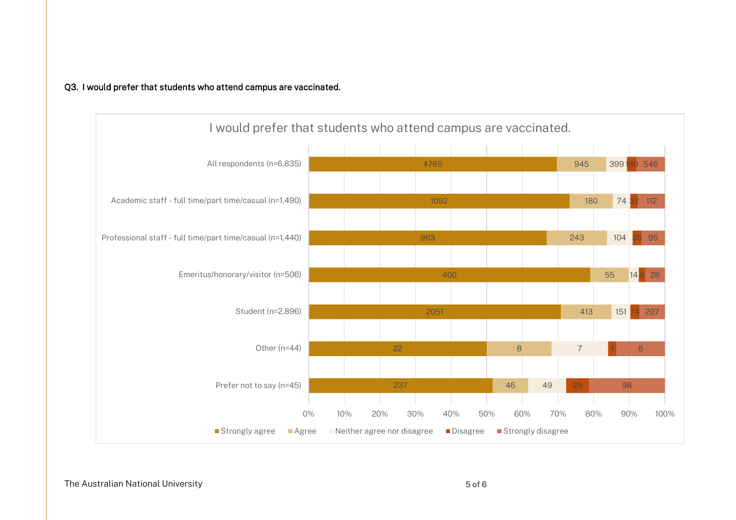## Q3. I would prefer that students who attend campus are vaccinated.



The Australian National University 5 of 6